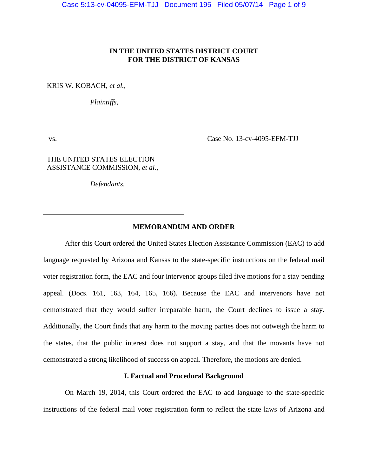# **IN THE UNITED STATES DISTRICT COURT FOR THE DISTRICT OF KANSAS**

KRIS W. KOBACH, *et al.*,

*Plaintiffs,*

THE UNITED STATES ELECTION ASSISTANCE COMMISSION, *et al.*,

*Defendants.*

vs. Case No. 13-cv-4095-EFM-TJJ

# **MEMORANDUM AND ORDER**

 After this Court ordered the United States Election Assistance Commission (EAC) to add language requested by Arizona and Kansas to the state-specific instructions on the federal mail voter registration form, the EAC and four intervenor groups filed five motions for a stay pending appeal. (Docs. 161, 163, 164, 165, 166). Because the EAC and intervenors have not demonstrated that they would suffer irreparable harm, the Court declines to issue a stay. Additionally, the Court finds that any harm to the moving parties does not outweigh the harm to the states, that the public interest does not support a stay, and that the movants have not demonstrated a strong likelihood of success on appeal. Therefore, the motions are denied.

# **I. Factual and Procedural Background**

 On March 19, 2014, this Court ordered the EAC to add language to the state-specific instructions of the federal mail voter registration form to reflect the state laws of Arizona and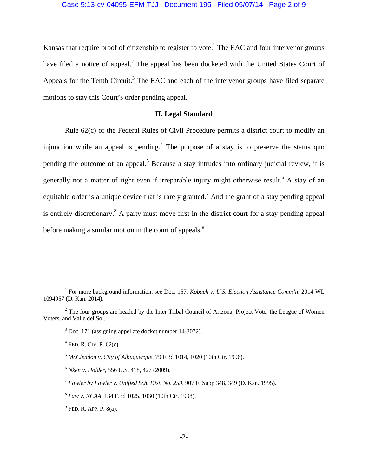### Case 5:13-cv-04095-EFM-TJJ Document 195 Filed 05/07/14 Page 2 of 9

Kansas that require proof of citizenship to register to vote.<sup>1</sup> The EAC and four intervenor groups have filed a notice of appeal.<sup>2</sup> The appeal has been docketed with the United States Court of Appeals for the Tenth Circuit.<sup>3</sup> The EAC and each of the intervenor groups have filed separate motions to stay this Court's order pending appeal.

# **II. Legal Standard**

 Rule 62(c) of the Federal Rules of Civil Procedure permits a district court to modify an injunction while an appeal is pending.<sup>4</sup> The purpose of a stay is to preserve the status quo pending the outcome of an appeal.<sup>5</sup> Because a stay intrudes into ordinary judicial review, it is generally not a matter of right even if irreparable injury might otherwise result.<sup>6</sup> A stay of an equitable order is a unique device that is rarely granted.<sup>7</sup> And the grant of a stay pending appeal is entirely discretionary.<sup>8</sup> A party must move first in the district court for a stay pending appeal before making a similar motion in the court of appeals.<sup>9</sup>

 $\frac{1}{1}$ <sup>1</sup> For more background information, see Doc. 157; *Kobach v. U.S. Election Assistance Comm'n*, 2014 WL 1094957 (D. Kan. 2014).

 $2^2$  The four groups are headed by the Inter Tribal Council of Arizona, Project Vote, the League of Women Voters, and Valle del Sol.

 $3$  Doc. 171 (assigning appellate docket number 14-3072).

 $<sup>4</sup>$  Fed. R. Civ. P. 62(c).</sup>

<sup>5</sup> *McClendon v. City of Albuquerque*, 79 F.3d 1014, 1020 (10th Cir. 1996).

<sup>6</sup> *Nken v. Holder*, 556 U.S. 418, 427 (2009).

<sup>7</sup> *Fowler by Fowler v. Unified Sch. Dist. No. 259*, 907 F. Supp 348, 349 (D. Kan. 1995).

<sup>8</sup> *Law v. NCAA*, 134 F.3d 1025, 1030 (10th Cir. 1998).

 $9$  Fed. R. App. P. 8(a).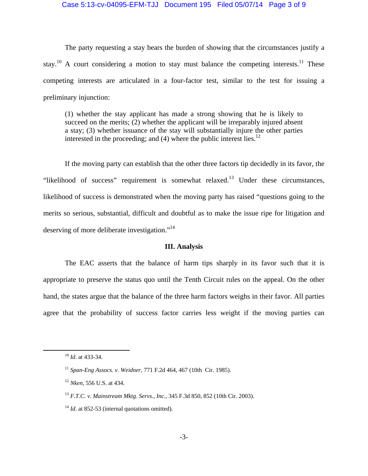### Case 5:13-cv-04095-EFM-TJJ Document 195 Filed 05/07/14 Page 3 of 9

The party requesting a stay bears the burden of showing that the circumstances justify a stay.<sup>10</sup> A court considering a motion to stay must balance the competing interests.<sup>11</sup> These competing interests are articulated in a four-factor test, similar to the test for issuing a preliminary injunction:

(1) whether the stay applicant has made a strong showing that he is likely to succeed on the merits; (2) whether the applicant will be irreparably injured absent a stay; (3) whether issuance of the stay will substantially injure the other parties interested in the proceeding; and  $(4)$  where the public interest lies.<sup>12</sup>

If the moving party can establish that the other three factors tip decidedly in its favor, the "likelihood of success" requirement is somewhat relaxed.<sup>13</sup> Under these circumstances, likelihood of success is demonstrated when the moving party has raised "questions going to the merits so serious, substantial, difficult and doubtful as to make the issue ripe for litigation and deserving of more deliberate investigation."<sup>14</sup>

## **III. Analysis**

The EAC asserts that the balance of harm tips sharply in its favor such that it is appropriate to preserve the status quo until the Tenth Circuit rules on the appeal. On the other hand, the states argue that the balance of the three harm factors weighs in their favor. All parties agree that the probability of success factor carries less weight if the moving parties can

 <sup>10</sup> *Id*. at 433-34.

<sup>11</sup> *Span-Eng Assocs. v. Weidner*, 771 F.2d 464, 467 (10th Cir. 1985).

<sup>12</sup> *Nken*, 556 U.S. at 434.

<sup>13</sup> *F.T.C. v. Mainstream Mktg. Servs., Inc.*, 345 F.3d 850, 852 (10th Cir. 2003).

<sup>&</sup>lt;sup>14</sup> *Id.* at 852-53 (internal quotations omitted).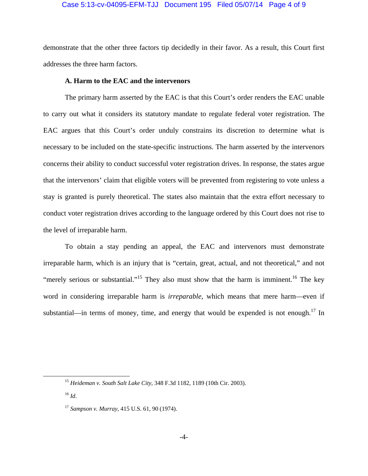#### Case 5:13-cv-04095-EFM-TJJ Document 195 Filed 05/07/14 Page 4 of 9

demonstrate that the other three factors tip decidedly in their favor. As a result, this Court first addresses the three harm factors.

## **A. Harm to the EAC and the intervenors**

The primary harm asserted by the EAC is that this Court's order renders the EAC unable to carry out what it considers its statutory mandate to regulate federal voter registration. The EAC argues that this Court's order unduly constrains its discretion to determine what is necessary to be included on the state-specific instructions. The harm asserted by the intervenors concerns their ability to conduct successful voter registration drives. In response, the states argue that the intervenors' claim that eligible voters will be prevented from registering to vote unless a stay is granted is purely theoretical. The states also maintain that the extra effort necessary to conduct voter registration drives according to the language ordered by this Court does not rise to the level of irreparable harm.

To obtain a stay pending an appeal, the EAC and intervenors must demonstrate irreparable harm, which is an injury that is "certain, great, actual, and not theoretical," and not "merely serious or substantial."<sup>15</sup> They also must show that the harm is imminent.<sup>16</sup> The key word in considering irreparable harm is *irreparable*, which means that mere harm—even if substantial—in terms of money, time, and energy that would be expended is not enough.<sup>17</sup> In

 <sup>15</sup> *Heideman v. South Salt Lake City*, 348 F.3d 1182, 1189 (10th Cir. 2003).

<sup>16</sup> *Id*.

<sup>17</sup> *Sampson v. Murray*, 415 U.S. 61, 90 (1974).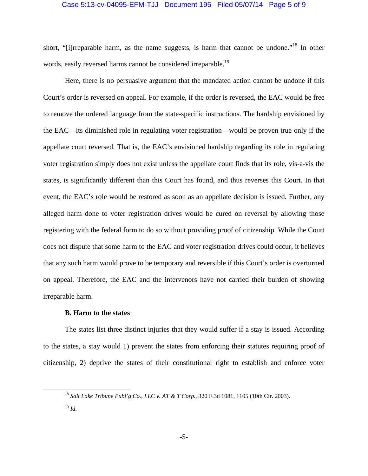### Case 5:13-cv-04095-EFM-TJJ Document 195 Filed 05/07/14 Page 5 of 9

short, "[i]rreparable harm, as the name suggests, is harm that cannot be undone."<sup>18</sup> In other words, easily reversed harms cannot be considered irreparable.<sup>19</sup>

Here, there is no persuasive argument that the mandated action cannot be undone if this Court's order is reversed on appeal. For example, if the order is reversed, the EAC would be free to remove the ordered language from the state-specific instructions. The hardship envisioned by the EAC—its diminished role in regulating voter registration—would be proven true only if the appellate court reversed. That is, the EAC's envisioned hardship regarding its role in regulating voter registration simply does not exist unless the appellate court finds that its role, vis-a-vis the states, is significantly different than this Court has found, and thus reverses this Court. In that event, the EAC's role would be restored as soon as an appellate decision is issued. Further, any alleged harm done to voter registration drives would be cured on reversal by allowing those registering with the federal form to do so without providing proof of citizenship. While the Court does not dispute that some harm to the EAC and voter registration drives could occur, it believes that any such harm would prove to be temporary and reversible if this Court's order is overturned on appeal. Therefore, the EAC and the intervenors have not carried their burden of showing irreparable harm.

## **B. Harm to the states**

The states list three distinct injuries that they would suffer if a stay is issued. According to the states, a stay would 1) prevent the states from enforcing their statutes requiring proof of citizenship, 2) deprive the states of their constitutional right to establish and enforce voter

 <sup>18</sup> *Salt Lake Tribune Publ'g Co., LLC v. AT & T Corp.*, 320 F.3d 1081, 1105 (10th Cir. 2003).

<sup>19</sup> *Id*.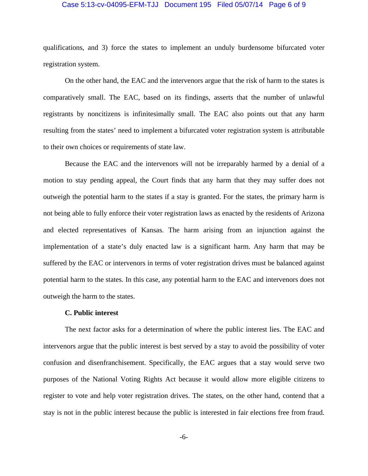#### Case 5:13-cv-04095-EFM-TJJ Document 195 Filed 05/07/14 Page 6 of 9

qualifications, and 3) force the states to implement an unduly burdensome bifurcated voter registration system.

On the other hand, the EAC and the intervenors argue that the risk of harm to the states is comparatively small. The EAC, based on its findings, asserts that the number of unlawful registrants by noncitizens is infinitesimally small. The EAC also points out that any harm resulting from the states' need to implement a bifurcated voter registration system is attributable to their own choices or requirements of state law.

Because the EAC and the intervenors will not be irreparably harmed by a denial of a motion to stay pending appeal, the Court finds that any harm that they may suffer does not outweigh the potential harm to the states if a stay is granted. For the states, the primary harm is not being able to fully enforce their voter registration laws as enacted by the residents of Arizona and elected representatives of Kansas. The harm arising from an injunction against the implementation of a state's duly enacted law is a significant harm. Any harm that may be suffered by the EAC or intervenors in terms of voter registration drives must be balanced against potential harm to the states. In this case, any potential harm to the EAC and intervenors does not outweigh the harm to the states.

#### **C. Public interest**

The next factor asks for a determination of where the public interest lies. The EAC and intervenors argue that the public interest is best served by a stay to avoid the possibility of voter confusion and disenfranchisement. Specifically, the EAC argues that a stay would serve two purposes of the National Voting Rights Act because it would allow more eligible citizens to register to vote and help voter registration drives. The states, on the other hand, contend that a stay is not in the public interest because the public is interested in fair elections free from fraud.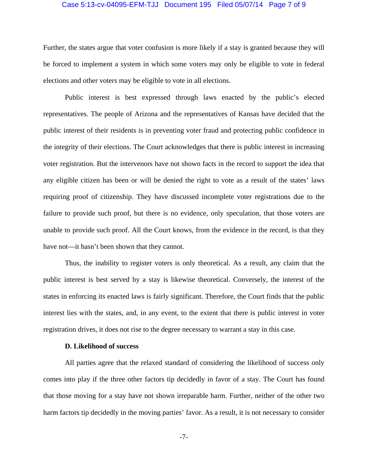#### Case 5:13-cv-04095-EFM-TJJ Document 195 Filed 05/07/14 Page 7 of 9

Further, the states argue that voter confusion is more likely if a stay is granted because they will be forced to implement a system in which some voters may only be eligible to vote in federal elections and other voters may be eligible to vote in all elections.

Public interest is best expressed through laws enacted by the public's elected representatives. The people of Arizona and the representatives of Kansas have decided that the public interest of their residents is in preventing voter fraud and protecting public confidence in the integrity of their elections. The Court acknowledges that there is public interest in increasing voter registration. But the intervenors have not shown facts in the record to support the idea that any eligible citizen has been or will be denied the right to vote as a result of the states' laws requiring proof of citizenship. They have discussed incomplete voter registrations due to the failure to provide such proof, but there is no evidence, only speculation, that those voters are unable to provide such proof. All the Court knows, from the evidence in the record, is that they have not—it hasn't been shown that they cannot.

Thus, the inability to register voters is only theoretical. As a result, any claim that the public interest is best served by a stay is likewise theoretical. Conversely, the interest of the states in enforcing its enacted laws is fairly significant. Therefore, the Court finds that the public interest lies with the states, and, in any event, to the extent that there is public interest in voter registration drives, it does not rise to the degree necessary to warrant a stay in this case.

### **D. Likelihood of success**

All parties agree that the relaxed standard of considering the likelihood of success only comes into play if the three other factors tip decidedly in favor of a stay. The Court has found that those moving for a stay have not shown irreparable harm. Further, neither of the other two harm factors tip decidedly in the moving parties' favor. As a result, it is not necessary to consider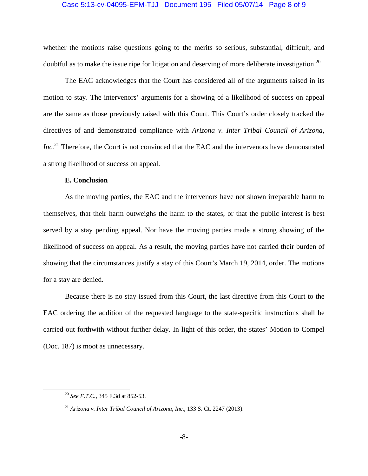### Case 5:13-cv-04095-EFM-TJJ Document 195 Filed 05/07/14 Page 8 of 9

whether the motions raise questions going to the merits so serious, substantial, difficult, and doubtful as to make the issue ripe for litigation and deserving of more deliberate investigation.<sup>20</sup>

The EAC acknowledges that the Court has considered all of the arguments raised in its motion to stay. The intervenors' arguments for a showing of a likelihood of success on appeal are the same as those previously raised with this Court. This Court's order closely tracked the directives of and demonstrated compliance with *Arizona v. Inter Tribal Council of Arizona, Inc.*<sup>21</sup> Therefore, the Court is not convinced that the EAC and the intervenors have demonstrated a strong likelihood of success on appeal.

## **E. Conclusion**

As the moving parties, the EAC and the intervenors have not shown irreparable harm to themselves, that their harm outweighs the harm to the states, or that the public interest is best served by a stay pending appeal. Nor have the moving parties made a strong showing of the likelihood of success on appeal. As a result, the moving parties have not carried their burden of showing that the circumstances justify a stay of this Court's March 19, 2014, order. The motions for a stay are denied.

Because there is no stay issued from this Court, the last directive from this Court to the EAC ordering the addition of the requested language to the state-specific instructions shall be carried out forthwith without further delay. In light of this order, the states' Motion to Compel (Doc. 187) is moot as unnecessary.

 <sup>20</sup> *See F.T.C.*, 345 F.3d at 852-53.

<sup>21</sup> *Arizona v. Inter Tribal Council of Arizona, Inc.*, 133 S. Ct. 2247 (2013).